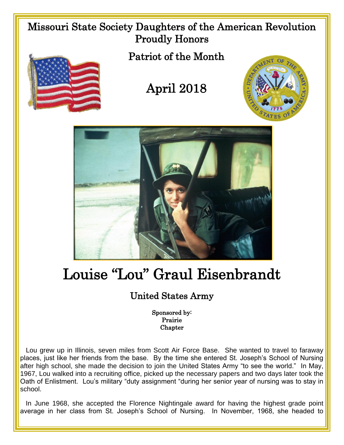## Missouri State Society Daughters of the American Revolution Proudly Honors Patriot of the Month April 2018

## Louise "Lou" Graul Eisenbrandt

## United States Army

Sponsored by: Prairie Chapter

 Lou grew up in Illinois, seven miles from Scott Air Force Base. She wanted to travel to faraway places, just like her friends from the base. By the time she entered St. Joseph's School of Nursing after high school, she made the decision to join the United States Army "to see the world." In May, 1967, Lou walked into a recruiting office, picked up the necessary papers and two days later took the Oath of Enlistment. Lou's military "duty assignment "during her senior year of nursing was to stay in school.

In June 1968, she accepted the Florence Nightingale award for having the highest grade point average in her class from St. Joseph's School of Nursing. In November, 1968, she headed to